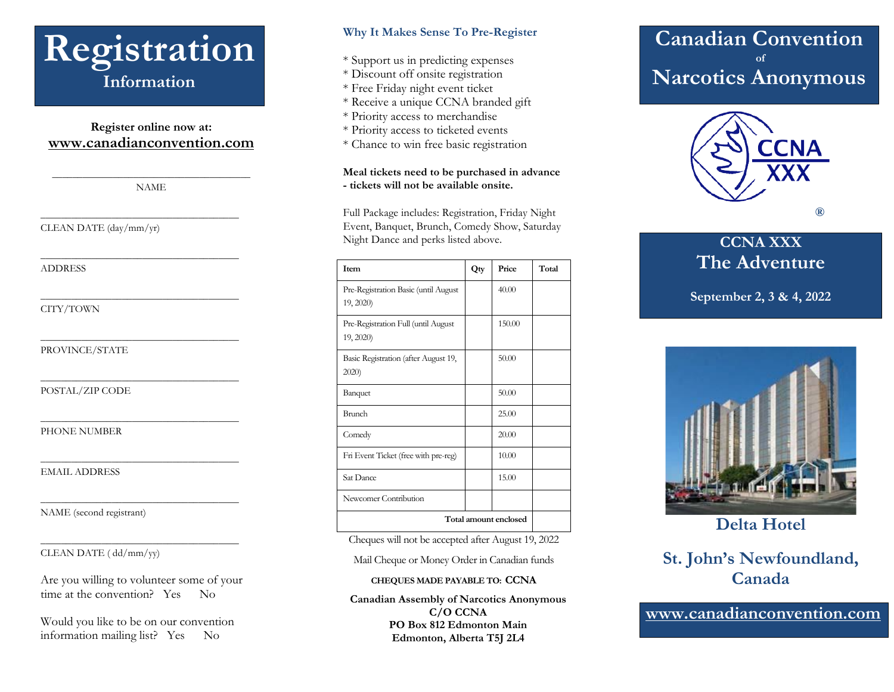

#### **Register online now at: [www.canadianconvention.com](http://www.canadianconvention.com/)**

\_\_\_\_\_\_\_\_\_\_\_\_\_\_\_\_\_\_\_\_\_\_\_\_\_\_\_\_\_\_\_\_\_\_\_\_\_\_\_ NAME

\_\_\_\_\_\_\_\_\_\_\_\_\_\_\_\_\_\_\_\_\_\_\_\_\_\_\_\_\_\_\_\_\_\_\_\_\_\_\_

\_\_\_\_\_\_\_\_\_\_\_\_\_\_\_\_\_\_\_\_\_\_\_\_\_\_\_\_\_\_\_\_\_\_\_\_\_\_\_

\_\_\_\_\_\_\_\_\_\_\_\_\_\_\_\_\_\_\_\_\_\_\_\_\_\_\_\_\_\_\_\_\_\_\_\_\_\_\_

\_\_\_\_\_\_\_\_\_\_\_\_\_\_\_\_\_\_\_\_\_\_\_\_\_\_\_\_\_\_\_\_\_\_\_\_\_\_\_

\_\_\_\_\_\_\_\_\_\_\_\_\_\_\_\_\_\_\_\_\_\_\_\_\_\_\_\_\_\_\_\_\_\_\_\_\_\_\_

\_\_\_\_\_\_\_\_\_\_\_\_\_\_\_\_\_\_\_\_\_\_\_\_\_\_\_\_\_\_\_\_\_\_\_\_\_\_\_

\_\_\_\_\_\_\_\_\_\_\_\_\_\_\_\_\_\_\_\_\_\_\_\_\_\_\_\_\_\_\_\_\_\_\_\_\_\_\_

\_\_\_\_\_\_\_\_\_\_\_\_\_\_\_\_\_\_\_\_\_\_\_\_\_\_\_\_\_\_\_\_\_\_\_\_\_\_\_

\_\_\_\_\_\_\_\_\_\_\_\_\_\_\_\_\_\_\_\_\_\_\_\_\_\_\_\_\_\_\_\_\_\_\_\_\_\_\_

CLEAN DATE (day/mm/yr)

ADDRESS

CITY/TOWN

PROVINCE/STATE

POSTAL/ZIP CODE

PHONE NUMBER

EMAIL ADDRESS

NAME (second registrant)

#### CLEAN DATE ( dd/mm/yy)

Are you willing to volunteer some of your time at the convention? Yes No

Would you like to be on our convention information mailing list? Yes No

#### **Why It Makes Sense To Pre-Register**

- \* Support us in predicting expenses
- \* Discount off onsite registration
- \* Free Friday night event ticket
- \* Receive a unique CCNA branded gift
- \* Priority access to merchandise
- \* Priority access to ticketed events
- \* Chance to win free basic registration

#### **Meal tickets need to be purchased in advance - tickets will not be available onsite.**

Full Package includes: Registration, Friday Night Event, Banquet, Brunch, Comedy Show, Saturday Night Dance and perks listed above.

| Item                                              | Qty | Price  | Total |
|---------------------------------------------------|-----|--------|-------|
| Pre-Registration Basic (until August<br>19, 2020) |     | 40.00  |       |
| Pre-Registration Full (until August<br>19, 2020)  |     | 150.00 |       |
| Basic Registration (after August 19,<br>2020      |     | 50.00  |       |
| Banquet                                           |     | 50.00  |       |
| Brunch                                            |     | 25.00  |       |
| Comedy                                            |     | 20.00  |       |
| Fri Event Ticket (free with pre-reg)              |     | 10.00  |       |
| Sat Dance                                         |     | 15.00  |       |
| Newcomer Contribution                             |     |        |       |
| Total amount enclosed                             |     |        |       |

Cheques will not be accepted after August 19, 2022

Mail Cheque or Money Order in Canadian funds

#### **CHEQUES MADE PAYABLE TO: CCNA**

**Canadian Assembly of Narcotics Anonymous C/O CCNA PO Box 812 Edmonton Main Edmonton, Alberta T5J 2L4**

## **Canadian Convention of Narcotics Anonymous**



### **CCNA XXX The Adventure**

**September 2, 3 & 4, 2022**



**Delta Hotel**

## **St. John's Newfoundland, Canada**

**www.canadianconvention.com**